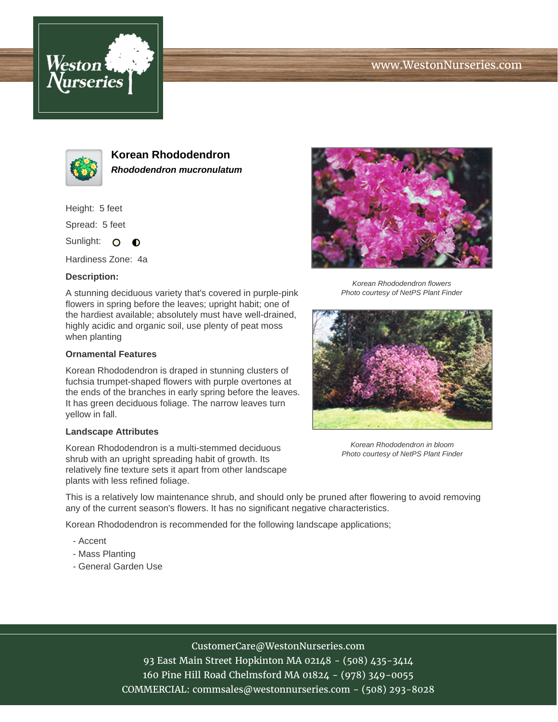





**Korean Rhododendron Rhododendron mucronulatum**

Height: 5 feet

Spread: 5 feet

Sunlight: O  $\bullet$ 

Hardiness Zone: 4a

#### **Description:**

A stunning deciduous variety that's covered in purple-pink flowers in spring before the leaves; upright habit; one of the hardiest available; absolutely must have well-drained, highly acidic and organic soil, use plenty of peat moss when planting

#### **Ornamental Features**

Korean Rhododendron is draped in stunning clusters of fuchsia trumpet-shaped flowers with purple overtones at the ends of the branches in early spring before the leaves. It has green deciduous foliage. The narrow leaves turn yellow in fall.

### **Landscape Attributes**

Korean Rhododendron is a multi-stemmed deciduous shrub with an upright spreading habit of growth. Its relatively fine texture sets it apart from other landscape plants with less refined foliage.



Korean Rhododendron flowers Photo courtesy of NetPS Plant Finder



Korean Rhododendron in bloom Photo courtesy of NetPS Plant Finder

This is a relatively low maintenance shrub, and should only be pruned after flowering to avoid removing any of the current season's flowers. It has no significant negative characteristics.

Korean Rhododendron is recommended for the following landscape applications;

- Accent
- Mass Planting
- General Garden Use

# CustomerCare@WestonNurseries.com

93 East Main Street Hopkinton MA 02148 - (508) 435-3414 160 Pine Hill Road Chelmsford MA 01824 - (978) 349-0055 COMMERCIAL: commsales@westonnurseries.com - (508) 293-8028